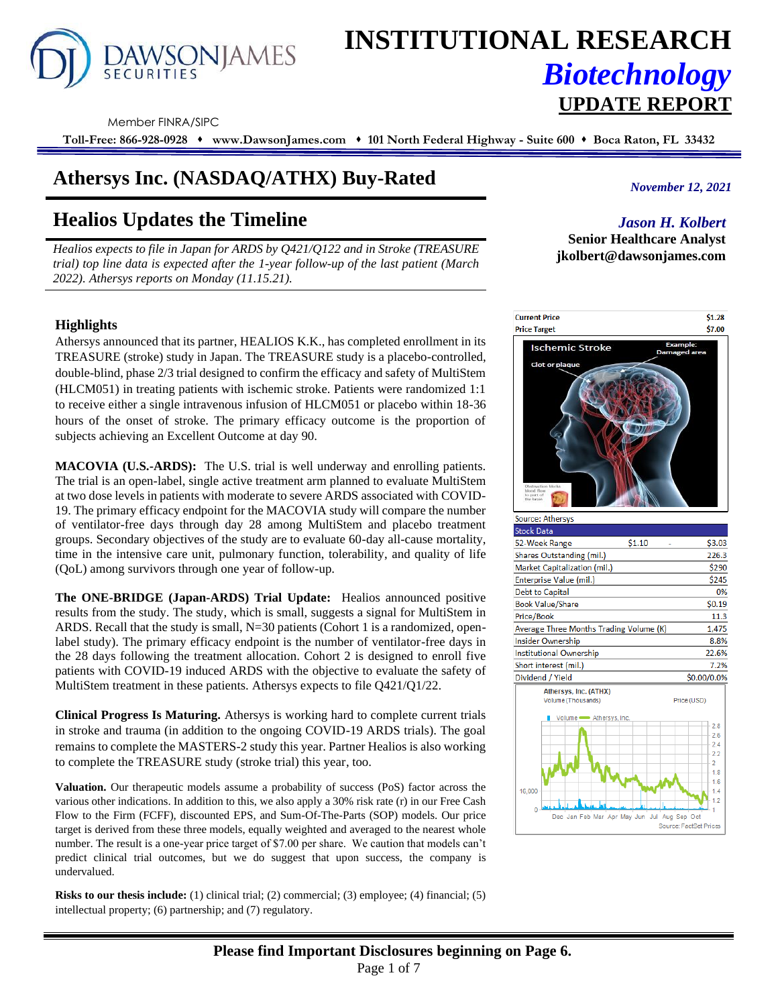# DAWSONJAMES

## **INSTITUTIONAL RESEARCH** *Biotechnology* **UPDATE REPORT**

Member FINRA/SIPC

**Toll-Free: 866-928-0928** ⬧ **www.DawsonJames.com** ⬧ **101 North Federal Highway - Suite 600** ⬧ **Boca Raton, FL 33432**

## **Athersys Inc.** *November 12, 2021* **(NASDAQ/ATHX) Buy-Rated**

## **Healios Updates the Timeline**

*Healios expects to file in Japan for ARDS by Q421/Q122 and in Stroke (TREASURE trial) top line data is expected after the 1-year follow-up of the last patient (March 2022). Athersys reports on Monday (11.15.21).*

### **Highlights**

Athersys announced that its partner, HEALIOS K.K., has completed enrollment in its TREASURE (stroke) study in Japan. The TREASURE study is a placebo-controlled, double-blind, phase 2/3 trial designed to confirm the efficacy and safety of MultiStem (HLCM051) in treating patients with ischemic stroke. Patients were randomized 1:1 to receive either a single intravenous infusion of HLCM051 or placebo within 18-36 hours of the onset of stroke. The primary efficacy outcome is the proportion of subjects achieving an Excellent Outcome at day 90.

**MACOVIA (U.S.-ARDS):** The U.S. trial is well underway and enrolling patients. The trial is an open-label, single active treatment arm planned to evaluate MultiStem at two dose levels in patients with moderate to severe ARDS associated with COVID-19. The primary efficacy endpoint for the MACOVIA study will compare the number of ventilator-free days through day 28 among MultiStem and placebo treatment groups. Secondary objectives of the study are to evaluate 60-day all-cause mortality, time in the intensive care unit, pulmonary function, tolerability, and quality of life (QoL) among survivors through one year of follow-up.

**The ONE-BRIDGE (Japan-ARDS) Trial Update:** Healios announced positive results from the study. The study, which is small, suggests a signal for MultiStem in ARDS. Recall that the study is small, N=30 patients (Cohort 1 is a randomized, openlabel study). The primary efficacy endpoint is the number of ventilator-free days in the 28 days following the treatment allocation. Cohort 2 is designed to enroll five patients with COVID-19 induced ARDS with the objective to evaluate the safety of MultiStem treatment in these patients. Athersys expects to file Q421/Q1/22.

**Clinical Progress Is Maturing.** Athersys is working hard to complete current trials in stroke and trauma (in addition to the ongoing COVID-19 ARDS trials). The goal remains to complete the MASTERS-2 study this year. Partner Healios is also working to complete the TREASURE study (stroke trial) this year, too.

**Valuation.** Our therapeutic models assume a probability of success (PoS) factor across the various other indications. In addition to this, we also apply a 30% risk rate (r) in our Free Cash Flow to the Firm (FCFF), discounted EPS, and Sum-Of-The-Parts (SOP) models. Our price target is derived from these three models, equally weighted and averaged to the nearest whole number. The result is a one-year price target of \$7.00 per share. We caution that models can't predict clinical trial outcomes, but we do suggest that upon success, the company is undervalued.

**Risks to our thesis include:** (1) clinical trial; (2) commercial; (3) employee; (4) financial; (5) intellectual property; (6) partnership; and (7) regulatory.

### *Jason H. Kolbert*

**Senior Healthcare Analyst jkolbert@dawsonjames.com**

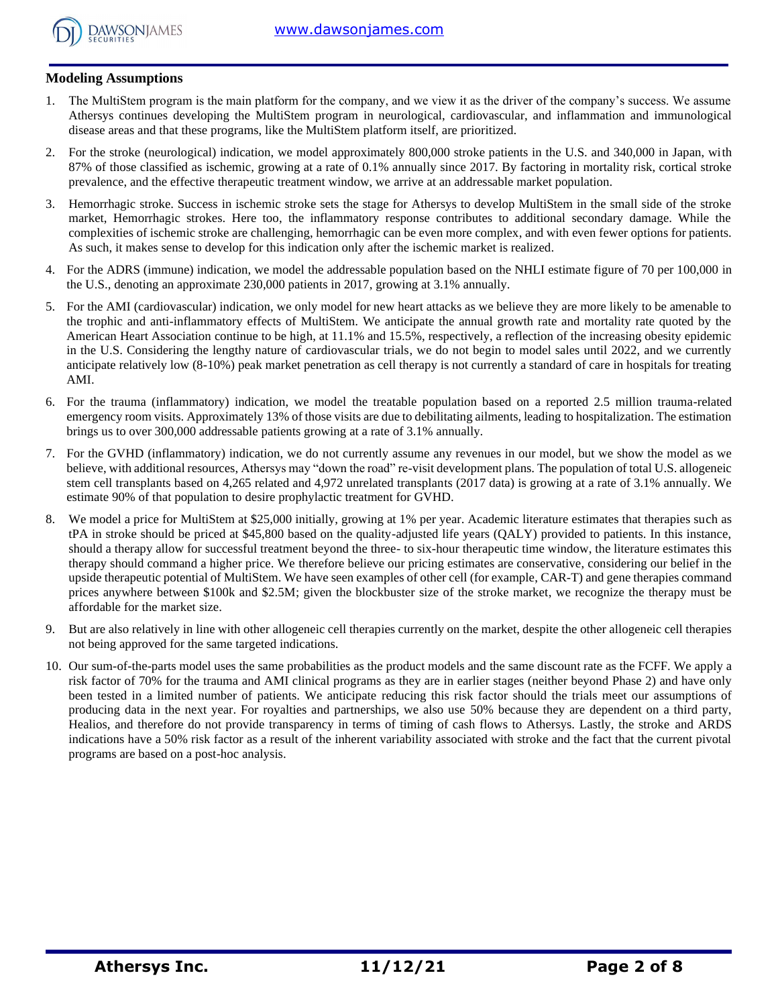

#### **Modeling Assumptions**

- 1. The MultiStem program is the main platform for the company, and we view it as the driver of the company's success. We assume Athersys continues developing the MultiStem program in neurological, cardiovascular, and inflammation and immunological disease areas and that these programs, like the MultiStem platform itself, are prioritized.
- 2. For the stroke (neurological) indication, we model approximately 800,000 stroke patients in the U.S. and 340,000 in Japan, with 87% of those classified as ischemic, growing at a rate of 0.1% annually since 2017. By factoring in mortality risk, cortical stroke prevalence, and the effective therapeutic treatment window, we arrive at an addressable market population.
- 3. Hemorrhagic stroke. Success in ischemic stroke sets the stage for Athersys to develop MultiStem in the small side of the stroke market, Hemorrhagic strokes. Here too, the inflammatory response contributes to additional secondary damage. While the complexities of ischemic stroke are challenging, hemorrhagic can be even more complex, and with even fewer options for patients. As such, it makes sense to develop for this indication only after the ischemic market is realized.
- 4. For the ADRS (immune) indication, we model the addressable population based on the NHLI estimate figure of 70 per 100,000 in the U.S., denoting an approximate 230,000 patients in 2017, growing at 3.1% annually.
- 5. For the AMI (cardiovascular) indication, we only model for new heart attacks as we believe they are more likely to be amenable to the trophic and anti-inflammatory effects of MultiStem. We anticipate the annual growth rate and mortality rate quoted by the American Heart Association continue to be high, at 11.1% and 15.5%, respectively, a reflection of the increasing obesity epidemic in the U.S. Considering the lengthy nature of cardiovascular trials, we do not begin to model sales until 2022, and we currently anticipate relatively low (8-10%) peak market penetration as cell therapy is not currently a standard of care in hospitals for treating AMI.
- 6. For the trauma (inflammatory) indication, we model the treatable population based on a reported 2.5 million trauma-related emergency room visits. Approximately 13% of those visits are due to debilitating ailments, leading to hospitalization. The estimation brings us to over 300,000 addressable patients growing at a rate of 3.1% annually.
- 7. For the GVHD (inflammatory) indication, we do not currently assume any revenues in our model, but we show the model as we believe, with additional resources, Athersys may "down the road" re-visit development plans. The population of total U.S. allogeneic stem cell transplants based on 4,265 related and 4,972 unrelated transplants (2017 data) is growing at a rate of 3.1% annually. We estimate 90% of that population to desire prophylactic treatment for GVHD.
- 8. We model a price for MultiStem at \$25,000 initially, growing at 1% per year. Academic literature estimates that therapies such as tPA in stroke should be priced at \$45,800 based on the quality-adjusted life years (QALY) provided to patients. In this instance, should a therapy allow for successful treatment beyond the three- to six-hour therapeutic time window, the literature estimates this therapy should command a higher price. We therefore believe our pricing estimates are conservative, considering our belief in the upside therapeutic potential of MultiStem. We have seen examples of other cell (for example, CAR-T) and gene therapies command prices anywhere between \$100k and \$2.5M; given the blockbuster size of the stroke market, we recognize the therapy must be affordable for the market size.
- 9. But are also relatively in line with other allogeneic cell therapies currently on the market, despite the other allogeneic cell therapies not being approved for the same targeted indications.
- 10. Our sum-of-the-parts model uses the same probabilities as the product models and the same discount rate as the FCFF. We apply a risk factor of 70% for the trauma and AMI clinical programs as they are in earlier stages (neither beyond Phase 2) and have only been tested in a limited number of patients. We anticipate reducing this risk factor should the trials meet our assumptions of producing data in the next year. For royalties and partnerships, we also use 50% because they are dependent on a third party, Healios, and therefore do not provide transparency in terms of timing of cash flows to Athersys. Lastly, the stroke and ARDS indications have a 50% risk factor as a result of the inherent variability associated with stroke and the fact that the current pivotal programs are based on a post-hoc analysis.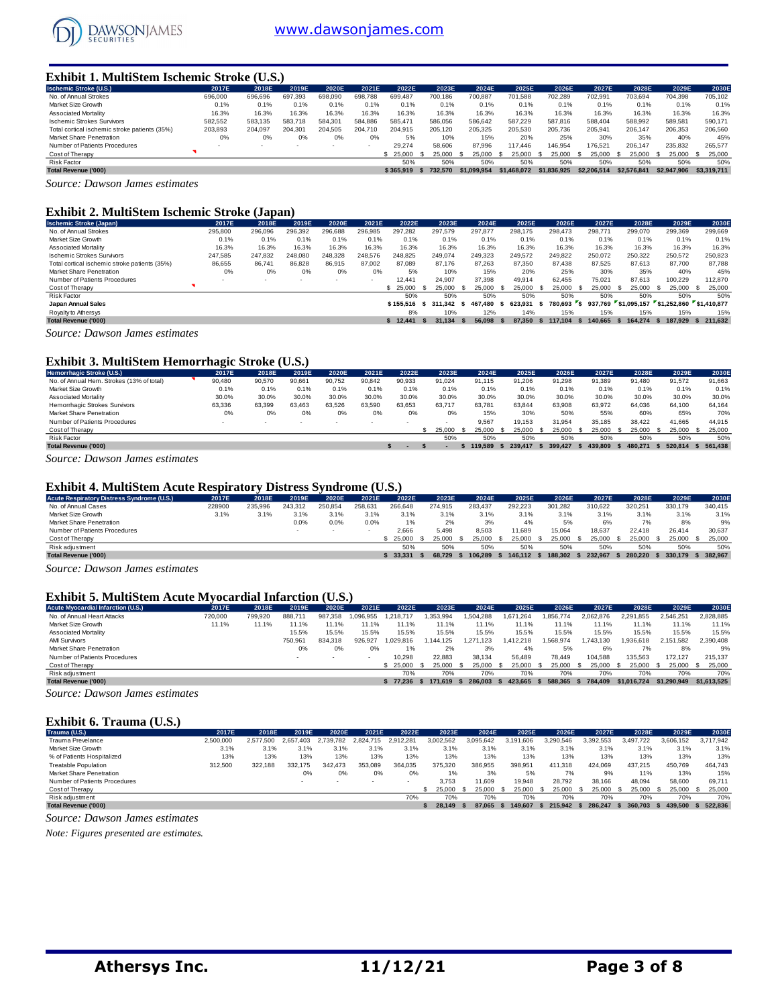

#### **Exhibit 1. MultiStem Ischemic Stroke (U.S.)**

| <b>Ischemic Stroke (U.S.)</b>                 | 2017E   | 2018E   | 2019E   | 2020E   | 2021E                    | 2022E     | 2023E   | 2024E       | 2025E       | 2026E       | 2027E       | 2028E       | 2029E       | 2030E         |
|-----------------------------------------------|---------|---------|---------|---------|--------------------------|-----------|---------|-------------|-------------|-------------|-------------|-------------|-------------|---------------|
| No. of Annual Strokes                         | 696,000 | 696,696 | 697.393 | 698,090 | 698.788                  | 699.487   | 700.186 | 700.887     | 701.588     | 702.289     | 702.991     | 703.694     | 704.398     | 705.102       |
| Market Size Growth                            | 0.1%    | 0.1%    | 0.1%    | 0.1%    | 0.1%                     | 0.1%      | 0.1%    | 0.1%        | 0.1%        | 0.1%        | 0.1%        | 0.1%        | 0.1%        | 0.1%          |
| <b>Associated Mortality</b>                   | 16.3%   | 16.3%   | 16.3%   | 16.3%   | 16.3%                    | 16.3%     | 16.3%   | 16.3%       | 16.3%       | 16.3%       | 16.3%       | 16.3%       | 16.3%       | 16.3%         |
| <b>Ischemic Strokes Survivors</b>             | 582.552 | 583.135 | 583.718 | 584.301 | 584.886                  | 585.471   | 586.056 | 586.642     | 587.229     | 587.816     | 588.404     | 588.992     | 589.581     | 590.171       |
| Total cortical ischemic stroke patients (35%) | 203.893 | 204.097 | 204.301 | 204.505 | 204.710                  | 204.915   | 205.120 | 205.325     | 205.530     | 205.736     | 205.941     | 206,147     | 206.353     | 206,560       |
| Market Share Penetration                      | 0%      | 0%      | 0%      | 0%      | 0%                       | 5%        | 10%     | 15%         | 20%         | 25%         | 30%         | 35%         | 40%         | 45%           |
| Number of Patients Procedures                 |         |         |         | ۰.      | $\overline{\phantom{a}}$ | 29.274    | 58,606  | 87.996      | 117,446     | 146.954     | 176.521     | 206.147     | 235.832     | 265.577       |
| Cost of Therapy                               |         |         |         |         |                          | \$ 25,000 | 25,000  | 25.000      | 25.000      | 25,000      | 25.000      | 25,000      | 25.000      | 25,000<br>- S |
| <b>Risk Factor</b>                            |         |         |         |         |                          | 50%       | 50%     | 50%         | 50%         | 50%         | 50%         | 50%         | 50%         | 50%           |
| <b>Total Revenue ('000)</b>                   |         |         |         |         |                          | \$365.919 | 732.570 | \$1.099.954 | \$1,468,072 | \$1,836,925 | \$2,206,514 | \$2,576,841 | \$2,947,906 | \$3,319,711   |
| $\sim$<br>$\sim$                              |         |         |         |         |                          |           |         |             |             |             |             |             |             |               |

*Source: Dawson James estimates*

#### **Exhibit 2. MultiStem Ischemic Stroke (Japan)**

| <b>Ischemic Stroke (Japan)</b>                | 2017E   | 2018E   | 2019E                    | 2020E   | 2021E                    | 2022E     | 2023E   |      | 2024E   | 2025E          |      | 2026E     |    | 2027E   |      | 2028E                               |      | 2029E     |            | 2030E   |
|-----------------------------------------------|---------|---------|--------------------------|---------|--------------------------|-----------|---------|------|---------|----------------|------|-----------|----|---------|------|-------------------------------------|------|-----------|------------|---------|
| No. of Annual Strokes                         | 295,800 | 296.096 | 296.392                  | 296.688 | 296.985                  | 297.282   | 297.579 |      | 297.877 | 298.175        |      | 298.473   |    | 298,771 |      | 299,070                             |      | 299.369   |            | 299.669 |
| Market Size Growth                            | 0.1%    | 0.1%    | 0.1%                     | 0.1%    | 0.1%                     | 0.1%      | 0.1%    |      | 0.1%    | 0.1%           |      | 0.1%      |    | 0.1%    |      | 0.1%                                |      | 0.1%      |            | 0.1%    |
| Associated Mortality                          | 16.3%   | 16.3%   | 16.3%                    | 16.3%   | 16.3%                    | 16.3%     | 16.3%   |      | 16.3%   | 16.3%          |      | 16.3%     |    | 16.3%   |      | 16.3%                               |      | 16.3%     |            | 16.3%   |
| <b>Ischemic Strokes Survivors</b>             | 247,585 | 247.832 | 248.080                  | 248.328 | 248,576                  | 248.825   | 249,074 |      | 249,323 | 249,572        |      | 249,822   |    | 250,072 |      | 250,322                             |      | 250,572   |            | 250,823 |
| Total cortical ischemic stroke patients (35%) | 86,655  | 86.741  | 86.828                   | 86.915  | 87.002                   | 87.089    | 87.176  |      | 87.263  | 87.350         |      | 87.438    |    | 87.525  |      | 87.613                              |      | 87.700    |            | 87.788  |
| Market Share Penetration                      | 0%      | 0%      | 0%                       | 0%      | 0%                       | 5%        | 10%     |      | 15%     | 20%            |      | 25%       |    | 30%     |      | 35%                                 |      | 40%       |            | 45%     |
| Number of Patients Procedures                 |         |         | $\overline{\phantom{a}}$ | $\sim$  | $\overline{\phantom{a}}$ | 12,441    | 24.907  |      | 37.398  | 49.914         |      | 62.455    |    | 75.021  |      | 87.613                              |      | 100.229   |            | 112,870 |
| Cost of Therapy                               |         |         |                          |         |                          | \$25.000  | 25,000  | - 55 | 25,000  | 25.000         |      | 25.000    |    | 25,000  | - 55 | 25.000                              | - 55 | 25,000 \$ |            | 25,000  |
| <b>Risk Factor</b>                            |         |         |                          |         |                          | 50%       | 50%     |      | 50%     | 50%            |      | 50%       |    | 50%     |      | 50%                                 |      | 50%       |            | 50%     |
| Japan Annual Sales                            |         |         |                          |         |                          | \$155.516 | 311.342 | - S  | 467.480 | 623.931<br>- 5 |      | 780.693 S |    | 937.769 |      | \$1.095.157 \$1.252.860 \$1.410.877 |      |           |            |         |
| Royalty to Athersys                           |         |         |                          |         |                          | 8%        | 10%     |      | 12%     | 14%            |      | 15%       |    | 15%     |      | 15%                                 |      | 15%       |            | 15%     |
| <b>Total Revenue ('000)</b>                   |         |         |                          |         |                          | \$12.441  | 31.134  | - 5  | 56.098  | 87.350         | - 55 | 117.104   | s. | 140.665 | -S   | 164.274 \$                          |      | 187.929   | \$ 211,632 |         |
| Counse Damas James estimates                  |         |         |                          |         |                          |           |         |      |         |                |      |           |    |         |      |                                     |      |           |            |         |

*Source: Dawson James estimates*

#### **Exhibit 3. MultiStem Hemorrhagic Stroke (U.S.)**

| Hemorrhagic Stroke (U.S.)                                                        | 2017E                    | 2018E  | 2019E  | 2020E                    | 2021E  | 2022E  | 2023E  | 2024E  |      | 2025E   | 2026E   |     | 2027E   | 2028E   | 2029E   |      | 2030E   |
|----------------------------------------------------------------------------------|--------------------------|--------|--------|--------------------------|--------|--------|--------|--------|------|---------|---------|-----|---------|---------|---------|------|---------|
| No. of Annual Hem. Strokes (13% of total)                                        | 90.480                   | 90.570 | 90.661 | 90,752                   | 90,842 | 90,933 | 91.024 | 91.115 |      | 91.206  | 91.298  |     | 91.389  | 91.480  | 91.572  |      | 91,663  |
| Market Size Growth                                                               | 0.1%                     | 0.1%   | 0.1%   | 0.1%                     | 0.1%   | 0.1%   | 0.1%   |        | 0.1% | 0.1%    | 0.1%    |     | 0.1%    | 0.1%    | 0.1%    |      | 0.1%    |
| Associated Mortality                                                             | 30.0%                    | 30.0%  | 30.0%  | 30.0%                    | 30.0%  | 30.0%  | 30.0%  | 30.0%  |      | 30.0%   | 30.0%   |     | 30.0%   | 30.0%   | 30.0%   |      | 30.0%   |
| Hemorrhagic Strokes Survivors                                                    | 63.336                   | 63.399 | 63.463 | 63.526                   | 63.590 | 63.653 | 63.717 | 63.781 |      | 63.844  | 63.908  |     | 63.972  | 64.036  | 64.100  |      | 64.164  |
| <b>Market Share Penetration</b>                                                  | 0%                       | 0%     | 0%     | 0%                       | 0%     | 0%     | 0%     |        | 15%  | 30%     | 50%     |     | 55%     | 60%     | 65%     |      | 70%     |
| Number of Patients Procedures                                                    | $\overline{\phantom{a}}$ |        | . .    | $\overline{\phantom{a}}$ | $\sim$ | $\sim$ |        | 9.567  |      | 19.153  | 31.954  |     | 35,185  | 38.422  | 41.665  |      | 44.915  |
| Cost of Therapy                                                                  |                          |        |        |                          |        |        | 25.000 | 25.000 |      | 25.000  | 25.000  |     | 25.000  | 25.000  | 25,000  | - 55 | 25,000  |
| Risk Factor                                                                      |                          |        |        |                          |        |        | 50%    |        | 50%  | 50%     |         | 50% | 50%     | 50%     | 50%     |      | 50%     |
| <b>Total Revenue ('000)</b>                                                      |                          |        |        |                          |        |        |        | 19.589 |      | 239,417 | 399.427 |     | 439.809 | 480.271 | 520.814 |      | 561.438 |
| $\overline{\phantom{a}}$<br>$\overline{\phantom{a}}$<br>$\overline{\phantom{0}}$ |                          |        |        |                          |        |        |        |        |      |         |         |     |         |         |         |      |         |

*Source: Dawson James estimates*

#### **Exhibit 4. MultiStem Acute Respiratory Distress Syndrome (U.S.)**

| Acute Respiratory Distress Syndrome (U.S.) | 2017E  | 2018E   | 2019E   | 2020E                    | 2021E  | 2022E   | 2023E   | 2024E   | 2025E   | 2026E   | 2027E   | 2028E   | 2029E     | 2030E   |
|--------------------------------------------|--------|---------|---------|--------------------------|--------|---------|---------|---------|---------|---------|---------|---------|-----------|---------|
| No. of Annual Cases                        | 228900 | 235.996 | 243.312 | 250.854                  | 258.63 | 266,648 | 274.915 | 283.437 | 292.223 | 301.282 | 310.622 | 320.251 | 330,179   | 340.415 |
| Market Size Growth                         | 3.1%   | 3.1%    | 3.1%    | 3.1%                     | 3.1%   | 3.1%    | 3.1%    | 3.1%    | 3.1%    | 3.1%    | 3.1%    | 3.1%    | 3.1%      | 3.1%    |
| Market Share Penetration                   |        |         | 0.0%    | 0.0%                     | 0.0%   | 1%      | 2%      | 3%      | 4%      | 5%      | 6%      | 7%      | 8%        | 9%      |
| Number of Patients Procedures              |        |         |         | $\overline{\phantom{a}}$ |        | 2.666   | 5.498   | 8.503   | 11.689  | 15.064  | 18.637  | 22.418  | 26.414    | 30.637  |
| Cost of Therapy                            |        |         |         |                          |        | 25.000  | 25.000  | 25,000  | 25.000  | 25,000  | 25.000  | 25.000  | 25,000 \$ | 25,000  |
| Risk adjustment                            |        |         |         |                          |        | 50%     | 50%     | 50%     | 50%     | 50%     | 50%     | 50%     | 50%       | 50%     |
| <b>Total Revenue ('000)</b>                |        |         |         |                          |        | 33.331  | 68.729  | 06.289  | 146.112 | 188.302 | 232.967 | 280.220 | 330.179   | 382.967 |
|                                            |        |         |         |                          |        |         |         |         |         |         |         |         |           |         |

*Source: Dawson James estimates*

#### **Exhibit 5. MultiStem Acute Myocardial Infarction (U.S.)**

| <b>Acute Myocardial Infarction (U.S.)</b> | 2017E   | 2018E   | 2019E                    | 2020E                    | 2021E    | 2022E           | 2023E    | 2024E     | 2025E         | 2026E    | 2027E     | 2028E       | 2029E       | 2030E       |
|-------------------------------------------|---------|---------|--------------------------|--------------------------|----------|-----------------|----------|-----------|---------------|----------|-----------|-------------|-------------|-------------|
| No. of Annual Heart Attacks               | 720,000 | 799,920 | 888.71                   | 987.358                  | .096.955 | .218.717        | .353.994 | 1.504.288 | 1.671.264     | .856.774 | 2.062.876 | 2.291.855   | 2.546.251   | 2.828.885   |
| Market Size Growth                        | 11.1%   | 11.1%   | 1.1%                     | 11.1%                    |          | $1.1\%$         | 11.1%    | 11.1%     | 11.1%         | 1.1%     | 11.1%     | 11.1%       | 11.1%       | 11.1%       |
| Associated Mortality                      |         |         | 15.5%                    | 15.5%                    | 15.5%    | 15.5%           | 15.5%    | 15.5%     | 15.5%         | 15.5%    | 15.5%     | 15.5%       | 15.5%       | 15.5%       |
| <b>AMI Survivors</b>                      |         |         | 750.961                  | 834.318                  | 926.927  | .029.816        | 144.125  | 1.271.123 | 1.412.218     | .568.974 | .743.130  | 1.936.618   | 2.151.582   | 2.390.408   |
| Market Share Penetration                  |         |         | 0%                       | 0%                       | 0%       |                 | 2%       | 3%        | 4%            | 5%       | 6%        | 7%          | 8%          | 9%          |
| Number of Patients Procedures             |         |         | $\overline{\phantom{a}}$ | $\overline{\phantom{a}}$ |          | 10.298          | 22.883   | 38.134    | 56.489        | 78.449   | 104.588   | 135.563     | 172.127     | 215.137     |
| Cost of Therapy                           |         |         |                          |                          |          | \$ 25,000       | 25.000   | 25,000    | 25,000<br>- 9 | 25.000   | 25,000    | 25.000      | 25.000      | 25,000      |
| Risk adjustment                           |         |         |                          |                          |          | 70%             | 70%      | 70%       | 70%           | 70%      | 70%       | 70%         | 70%         | 70%         |
| <b>Total Revenue ('000)</b>               |         |         |                          |                          |          | $5\quad 77.236$ | 171.619  | 286,003   | 423.665       | 588.365  | 784.409   | \$1,016,724 | \$1.290.949 | \$1,613,525 |

*Source: Dawson James estimates*

#### **Exhibit 6. Trauma (U.S.)**

| Trauma (U.S.)                   | 2017E     | 2018E          | 2019E         | 2020E   | 2021E         | 2022E     | 2023E     | 2024E     | 2025E     | 2026E     | 2027E     | 2028E     | 2029E     | 2030E     |
|---------------------------------|-----------|----------------|---------------|---------|---------------|-----------|-----------|-----------|-----------|-----------|-----------|-----------|-----------|-----------|
| Trauma Prevelance               | 2,500,000 | 2.577.<br>.500 | 2.657<br>'403 | .782    | 2.824<br>.715 | 2.912.281 | 3.002.562 | 3.095.642 | 3.191.606 | 3.290.546 | 3.392.553 | 3.497.722 | 3.606.152 | 3.717.942 |
| Market Size Growth              | 3.1%      | 3.1%           | 3.1%          | 3.1%    | 3.1%          | 3.1%      | 3.1%      | 3.1%      | 3.1%      | 3.1%      | 3.1%      | 3.1%      | 3.1%      | 3.1%      |
| % of Patients Hospitalized      | 13%       | 13%            | 13%           | 13%     | 13%           | 13%       | 13%       | 13%       | 13%       | 13%       | 13%       | 13%       | 13%       | 13%       |
| <b>Treatable Population</b>     | 312,500   | 322.188        | 332.175       | 342.473 | 353.089       | 364.035   | 375,320   | 386.955   | 398.951   | 411.318   | 424.069   | 437.215   | 450.769   | 464.743   |
| <b>Market Share Penetration</b> |           |                | 0%            | 0%      | 0%            | $0\%$     | 1%        | 3%        | 5%        | 7%        | 9%        | 11%       | 13%       | 15%       |
| Number of Patients Procedures   |           |                |               |         |               |           | 3.753     | 11.609    | 19,948    | 28.792    | 38.166    | 48.094    | 58,600    | 69.711    |
| Cost of Therapy                 |           |                |               |         |               |           | 25,000    | 25,000    | 25.000    | 25.000    | 25,000    | 25.000    | 25,000 \$ | 25.000    |
| Risk adjustment                 |           |                |               |         |               | 70%       | 70%       | 70%       | 70%       | 70%       | 70%       | 70%       | 70%       | 70%       |
| Total Revenue ('000)            |           |                |               |         |               |           | 28.149    | 87.065    | 149.607   | 215.942   | 286,247   | 360.703   | 439.500   | 522.836   |

*Source: Dawson James estimates*

*Note: Figures presented are estimates.*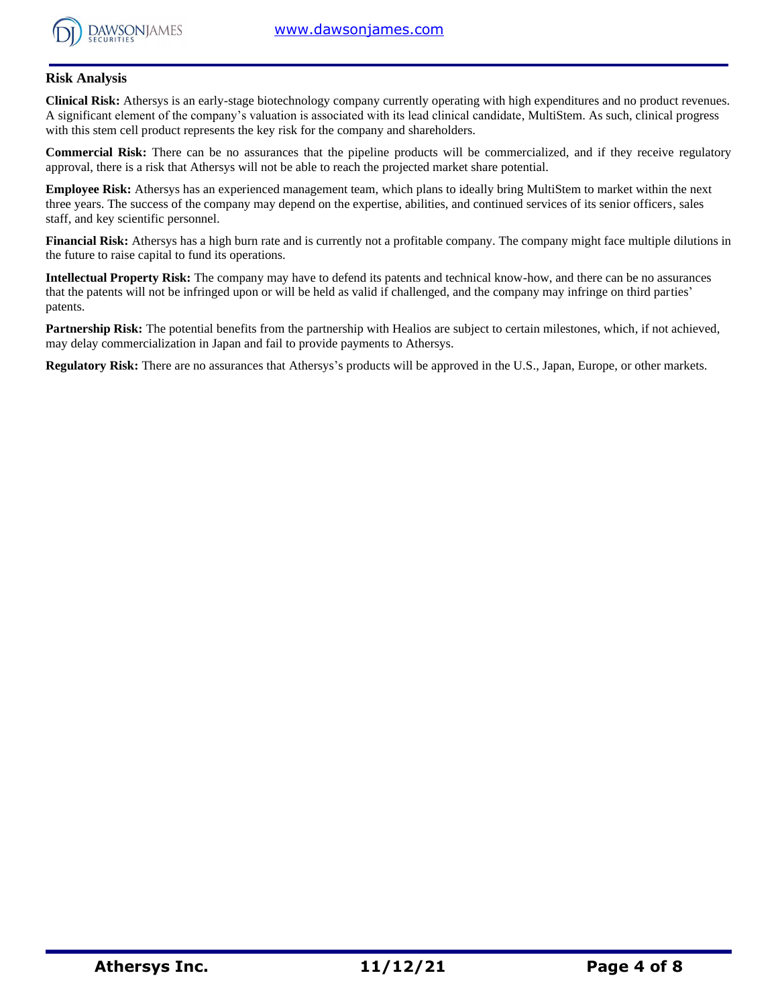

#### **Risk Analysis**

**Clinical Risk:** Athersys is an early-stage biotechnology company currently operating with high expenditures and no product revenues. A significant element of the company's valuation is associated with its lead clinical candidate, MultiStem. As such, clinical progress with this stem cell product represents the key risk for the company and shareholders.

**Commercial Risk:** There can be no assurances that the pipeline products will be commercialized, and if they receive regulatory approval, there is a risk that Athersys will not be able to reach the projected market share potential.

**Employee Risk:** Athersys has an experienced management team, which plans to ideally bring MultiStem to market within the next three years. The success of the company may depend on the expertise, abilities, and continued services of its senior officers, sales staff, and key scientific personnel.

**Financial Risk:** Athersys has a high burn rate and is currently not a profitable company. The company might face multiple dilutions in the future to raise capital to fund its operations.

**Intellectual Property Risk:** The company may have to defend its patents and technical know-how, and there can be no assurances that the patents will not be infringed upon or will be held as valid if challenged, and the company may infringe on third parties' patents.

Partnership Risk: The potential benefits from the partnership with Healios are subject to certain milestones, which, if not achieved, may delay commercialization in Japan and fail to provide payments to Athersys.

**Regulatory Risk:** There are no assurances that Athersys's products will be approved in the U.S., Japan, Europe, or other markets.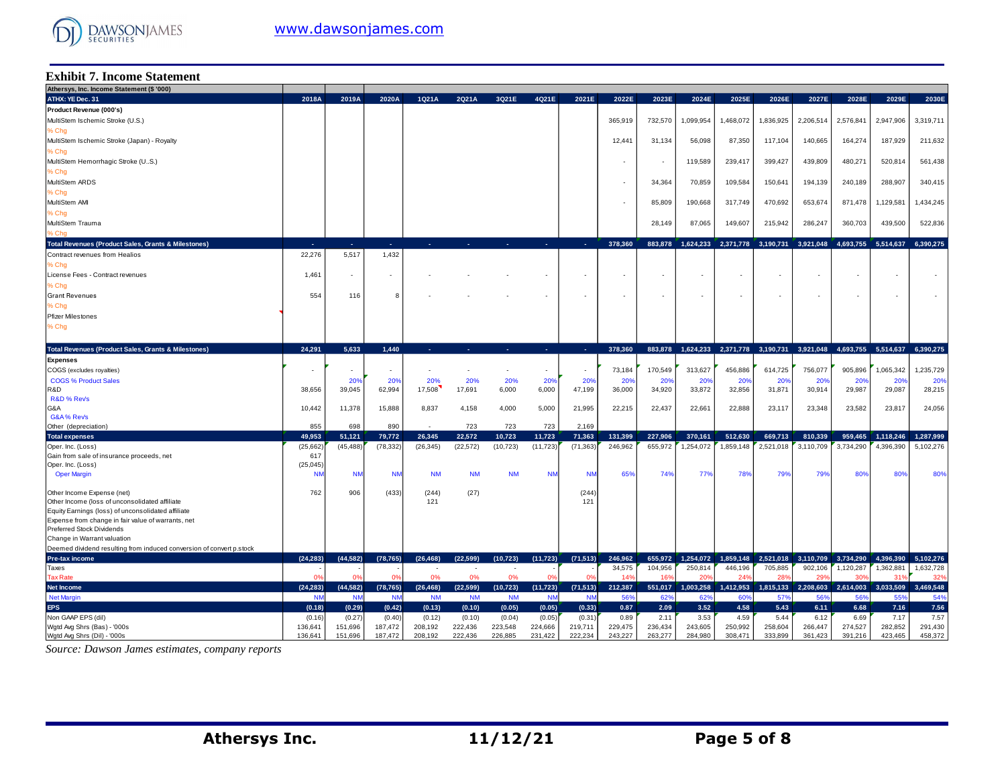

#### **Exhibit 7. Income Statement**

| Athersys, Inc. Income Statement (\$ '000)                                              |                   |                          |                          |                   |                   |                   |                          |                   |                          |                          |                 |                          |                          |                            |                  |                                         |                           |
|----------------------------------------------------------------------------------------|-------------------|--------------------------|--------------------------|-------------------|-------------------|-------------------|--------------------------|-------------------|--------------------------|--------------------------|-----------------|--------------------------|--------------------------|----------------------------|------------------|-----------------------------------------|---------------------------|
| ATHX: YE Dec. 31                                                                       | 2018A             | 2019A                    | 2020A                    | 1Q21A             | 2Q21A             | 3Q21E             | 4Q21E                    | 2021E             | 2022E                    | 2023E                    | 2024E           | 2025E                    | 2026E                    | 2027E                      | 2028E            | 2029E                                   | 2030E                     |
| Product Revenue (000's)                                                                |                   |                          |                          |                   |                   |                   |                          |                   |                          |                          |                 |                          |                          |                            |                  |                                         |                           |
| MultiStem Ischemic Stroke (U.S.)                                                       |                   |                          |                          |                   |                   |                   |                          |                   | 365,919                  | 732,570                  | 1,099,954       | 1,468,072                | .836,925                 | 2,206,514                  | 2,576,841        | 2,947,906                               | 3,319,711                 |
| % Chg                                                                                  |                   |                          |                          |                   |                   |                   |                          |                   |                          |                          |                 |                          |                          |                            |                  |                                         |                           |
| MultiStem Ischemic Stroke (Japan) - Royalty                                            |                   |                          |                          |                   |                   |                   |                          |                   | 12,44'                   | 31,134                   | 56,098          | 87,350                   | 117,104                  | 140,665                    | 164,274          | 187,929                                 | 211,632                   |
| % Chg                                                                                  |                   |                          |                          |                   |                   |                   |                          |                   |                          |                          |                 |                          |                          |                            |                  |                                         |                           |
| MultiStem Hemorrhagic Stroke (US.)                                                     |                   |                          |                          |                   |                   |                   |                          |                   |                          |                          | 119,589         | 239,417                  | 399,427                  | 439,809                    | 480,271          | 520,814                                 | 561,438                   |
| % Chg                                                                                  |                   |                          |                          |                   |                   |                   |                          |                   |                          |                          |                 |                          |                          |                            |                  |                                         |                           |
| MultiStem ARDS                                                                         |                   |                          |                          |                   |                   |                   |                          |                   |                          | 34,364                   | 70,859          | 109,584                  | 150,641                  | 194,139                    | 240,189          | 288,907                                 | 340,415                   |
| % Chg                                                                                  |                   |                          |                          |                   |                   |                   |                          |                   |                          |                          |                 |                          |                          |                            |                  |                                         |                           |
| MultiStem AMI                                                                          |                   |                          |                          |                   |                   |                   |                          |                   |                          | 85,809                   | 190,668         | 317,749                  | 470,692                  | 653,674                    | 871,478          | 1,129,581                               | 1,434,245                 |
| % Chg                                                                                  |                   |                          |                          |                   |                   |                   |                          |                   |                          |                          |                 |                          |                          |                            |                  |                                         |                           |
|                                                                                        |                   |                          |                          |                   |                   |                   |                          |                   |                          |                          |                 |                          |                          |                            |                  |                                         |                           |
| MultiStem Trauma                                                                       |                   |                          |                          |                   |                   |                   |                          |                   |                          | 28,149                   | 87,065          | 149,607                  | 215,942                  | 286,247                    | 360,703          | 439,500                                 | 522,836                   |
| . Cho                                                                                  |                   |                          |                          |                   |                   |                   |                          |                   |                          |                          |                 |                          |                          |                            |                  |                                         |                           |
| <b>Total Revenues (Product Sales, Grants &amp; Milestones)</b>                         | a.                | .                        | ne.                      | ×.                | ٠                 | ×.                | n.                       | п.                | 378.360                  | 883,878                  | 1,624,233       | 2,371,778                | 3,190,731                | 3,921,048                  | 4,693,755        | 5,514,637                               | 6.390.275                 |
| Contract revenues from Healios                                                         | 22,276            | 5,517                    | 1,432                    |                   |                   |                   |                          |                   |                          |                          |                 |                          |                          |                            |                  |                                         |                           |
| % Chg                                                                                  |                   |                          |                          |                   |                   |                   |                          |                   |                          |                          |                 |                          |                          |                            |                  |                                         |                           |
| License Fees - Contract revenues                                                       | 1,461             | $\overline{\phantom{a}}$ | $\overline{\phantom{a}}$ |                   |                   |                   | $\overline{\phantom{a}}$ | $\sim$            |                          |                          | $\sim$          | $\overline{\phantom{a}}$ | $\overline{\phantom{a}}$ |                            |                  | $\sim$                                  |                           |
| % Chq                                                                                  |                   |                          |                          |                   |                   |                   |                          |                   |                          |                          |                 |                          |                          |                            |                  |                                         |                           |
| <b>Grant Revenues</b>                                                                  | 554               | 116                      | 8                        |                   |                   |                   |                          |                   | $\overline{\phantom{a}}$ | $\overline{\phantom{a}}$ | $\sim$          | $\sim$                   | ٠                        |                            |                  | $\sim$                                  |                           |
| 6 Chg                                                                                  |                   |                          |                          |                   |                   |                   |                          |                   |                          |                          |                 |                          |                          |                            |                  |                                         |                           |
| <b>Pfizer Milestones</b>                                                               |                   |                          |                          |                   |                   |                   |                          |                   |                          |                          |                 |                          |                          |                            |                  |                                         |                           |
| % Chg                                                                                  |                   |                          |                          |                   |                   |                   |                          |                   |                          |                          |                 |                          |                          |                            |                  |                                         |                           |
|                                                                                        |                   |                          |                          |                   |                   |                   |                          |                   |                          |                          |                 |                          |                          |                            |                  |                                         |                           |
| Total Revenues (Product Sales, Grants & Milestones)                                    | 24.291            | 5.633                    | 1,440                    | ÷.                |                   | ÷.                | п.                       | na.               | 378.360                  | 883,878                  | 1,624,233       | 2,371,778 3,190,731      |                          |                            |                  | 3,921,048 4,693,755 5,514,637 6,390,275 |                           |
| <b>Expenses</b>                                                                        |                   |                          |                          |                   |                   |                   |                          |                   |                          |                          |                 |                          |                          |                            |                  |                                         |                           |
| COGS (excludes royalties)                                                              | $\blacksquare$    | $\overline{\phantom{a}}$ | $\overline{\phantom{a}}$ | ٠                 |                   | $\sim$            | $\sim$                   |                   | 73,184                   | 170,549                  | 313,627         | 456,886                  | 614,725                  | 756,077                    | 905,896          | 1,065,342                               | 1,235,729                 |
| <b>COGS % Product Sales</b>                                                            |                   | 20%                      | 20%                      | 20%               | 20%               | 20%               | 20%                      | 20%               | 20 <sup>o</sup>          | 20%                      | 20%             | 20%                      | 20%                      | 20%                        | 20%              | 20%                                     | 20%                       |
| R&D                                                                                    | 38,656            | 39,045                   | 62,994                   | 17,508            | 17,691            | 6,000             | 6,000                    | 47,199            | 36,000                   | 34,920                   | 33,872          | 32,856                   | 31,871                   | 30,914                     | 29,987           | 29,087                                  | 28,215                    |
| <b>R&amp;D % Revs</b>                                                                  |                   |                          |                          |                   |                   |                   |                          |                   |                          |                          |                 |                          |                          |                            |                  |                                         |                           |
| G&A                                                                                    | 10,442            | 11,378                   | 15,888                   | 8,837             | 4,158             | 4,000             | 5,000                    | 21,995            | 22,215                   | 22,437                   | 22,661          | 22,888                   | 23,117                   | 23,348                     | 23,582           | 23,817                                  | 24,056                    |
| G&A% Rev's                                                                             |                   |                          |                          |                   |                   |                   |                          |                   |                          |                          |                 |                          |                          |                            |                  |                                         |                           |
| Other (depreciation)                                                                   | 855               | 698                      | 890                      |                   | 723               | 723               | 723                      | 2,169             |                          |                          |                 |                          |                          |                            |                  |                                         |                           |
| <b>Total expenses</b>                                                                  | 49.953            | 51,121                   | 79,772                   | 26.345            | 22.572            | 10,723            | 11,723                   | 71,363            | 131,399                  | 227,906                  | 370,161         | 512,630                  | 669,713                  | 810.339                    | 959.465          | 1,118,246                               | 1,287,999                 |
| Oper. Inc. (Loss)                                                                      | (25,662)          | (45,488                  | (78, 332)                | (26, 345)         | (22, 572)         | (10, 723)         | (11, 723)                | (71, 363)         | 246,962                  | 655,972                  | 1,254,072       | 1,859,148                | 2,521,018                | 3,110,709                  | 3,734,290        | 4,396,390                               | 5,102,276                 |
| Gain from sale of insurance proceeds, net                                              | 617               |                          |                          |                   |                   |                   |                          |                   |                          |                          |                 |                          |                          |                            |                  |                                         |                           |
| Oper. Inc. (Loss)                                                                      | (25, 045)         |                          |                          |                   |                   |                   |                          |                   |                          |                          |                 |                          |                          |                            |                  |                                         |                           |
| <b>Oper Margin</b>                                                                     | <b>NN</b>         | <b>NN</b>                | <b>NM</b>                | <b>NM</b>         | <b>NM</b>         | <b>NM</b>         | <b>NM</b>                | <b>NN</b>         | 65%                      | 74%                      | 779             | 78%                      | 79%                      | 79%                        | 80%              | 80%                                     | 80%                       |
|                                                                                        |                   |                          |                          |                   |                   |                   |                          |                   |                          |                          |                 |                          |                          |                            |                  |                                         |                           |
| Other Income Expense (net)                                                             | 762               | 906                      | (433)                    | (244)             | (27)              |                   |                          | (244)             |                          |                          |                 |                          |                          |                            |                  |                                         |                           |
| Other Income (loss of unconsolidated affiliate                                         |                   |                          |                          | 121               |                   |                   |                          | 121               |                          |                          |                 |                          |                          |                            |                  |                                         |                           |
| Equity Earnings (loss) of unconsolidated affiliate                                     |                   |                          |                          |                   |                   |                   |                          |                   |                          |                          |                 |                          |                          |                            |                  |                                         |                           |
| Expense from change in fair value of warrants, net<br><b>Preferred Stock Dividends</b> |                   |                          |                          |                   |                   |                   |                          |                   |                          |                          |                 |                          |                          |                            |                  |                                         |                           |
| Change in Warrant valuation                                                            |                   |                          |                          |                   |                   |                   |                          |                   |                          |                          |                 |                          |                          |                            |                  |                                         |                           |
| Deemed dividend resulting from induced conversion of convert p.stock                   |                   |                          |                          |                   |                   |                   |                          |                   |                          |                          |                 |                          |                          |                            |                  |                                         |                           |
|                                                                                        |                   |                          |                          |                   |                   |                   |                          |                   |                          |                          |                 |                          |                          |                            |                  |                                         |                           |
|                                                                                        |                   |                          |                          |                   |                   |                   |                          |                   |                          |                          |                 |                          |                          |                            |                  |                                         |                           |
| Pre-tax income                                                                         | (24, 283)         | (44, 582)                | (78, 765)                | (26, 468)         | (22, 599)         | (10, 723)         | (11, 723)                | (71, 513)         | 246,962                  | 655.972                  | 1,254,072       | 1,859,148                | 2,521,018                | 3,110,709                  | 3,734,290        | 4,396,390                               | 5,102,276                 |
| Taxes                                                                                  | $\Omega$          | 0 <sup>s</sup>           |                          |                   |                   |                   | $\Omega$                 |                   | 34,575                   | 104.956                  | 250,814         | 446.196                  | 705.885<br>28            | 902.106<br>29 <sup>°</sup> | 1.120.287<br>30' | 1.362.88<br>31                          | 1,632,728<br>$32^{\circ}$ |
| <b>Tax Rate</b>                                                                        |                   |                          | 0 <sup>9</sup>           | 0%                | 0%                | 0%                |                          | 0 <sup>9</sup>    | 14 <sup>°</sup>          | 16%                      | 20 <sup>o</sup> | 24'                      |                          |                            |                  |                                         |                           |
| <b>Net Income</b>                                                                      | (24, 283)         | (44, 582)                | (78, 765)                | (26, 468)         | (22, 599)         | (10, 723)         | (11, 723)                | (71, 513)         | 212,387                  | 551,017                  | 1,003,258       | 1,412,953                | 1,815,133                | 2,208,603                  | 2,614,003        | 3,033,509                               | 3,469,548                 |
| <b>Net Margin</b>                                                                      | <b>NM</b>         | <b>NN</b>                | <b>NM</b>                | <b>NM</b>         | <b>NM</b>         | <b>NM</b>         | <b>NM</b>                | <b>NM</b>         | 56%                      | 62%                      | 629             | 60%                      | 57%                      | 56%                        | 569              | 559                                     | 54%                       |
| <b>EPS</b>                                                                             | (0.18)            | (0.29)                   | (0.42)                   | (0.13)            | (0.10)            | (0.05)            | (0.05)                   | (0.33)            | 0.87                     | 2.09                     | 3.52            | 4.58                     | 5.43                     | 6.11                       | 6.68             | 7.16                                    | 7.56                      |
| Non GAAP EPS (dil)<br>Wgtd Avg Shrs (Bas) - '000s                                      | (0.16)<br>136,641 | (0.27)<br>151,696        | (0.40)<br>187,472        | (0.12)<br>208,192 | (0.10)<br>222,436 | (0.04)<br>223,548 | (0.05)<br>224,666        | (0.31)<br>219,711 | 0.89<br>229,475          | 2.11<br>236,434          | 3.53<br>243,605 | 4.59<br>250,992          | 5.44<br>258,604          | 6.12<br>266,447            | 6.69<br>274,527  | 7.17<br>282,852                         | 7.57<br>291,430           |

Source: Dawson James estimates, company reports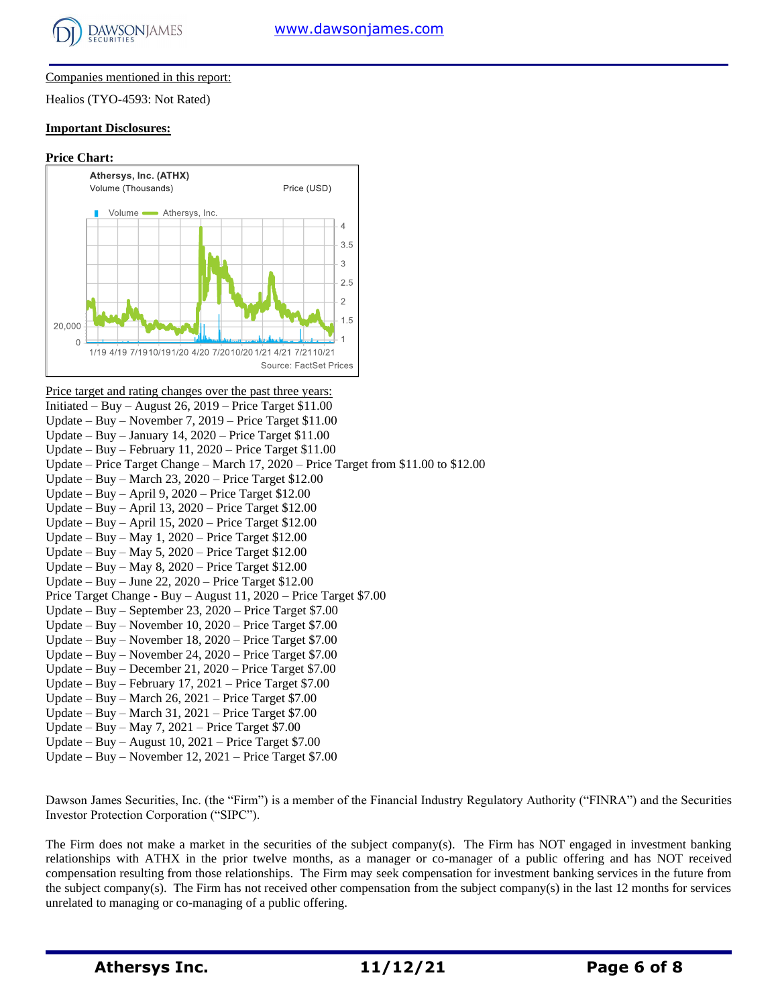

#### Companies mentioned in this report:

Healios (TYO-4593: Not Rated)

#### **Important Disclosures:**

#### **Price Chart:**



Price target and rating changes over the past three years: Initiated – Buy – August 26, 2019 – Price Target \$11.00 Update – Buy – November 7, 2019 – Price Target \$11.00 Update – Buy – January 14,  $2020$  – Price Target \$11.00 Update – Buy – February 11, 2020 – Price Target \$11.00 Update – Price Target Change – March 17, 2020 – Price Target from \$11.00 to \$12.00 Update – Buy – March 23, 2020 – Price Target \$12.00 Update – Buy – April 9, 2020 – Price Target \$12.00 Update – Buy – April 13, 2020 – Price Target \$12.00 Update – Buy – April 15, 2020 – Price Target \$12.00 Update – Buy – May 1, 2020 – Price Target \$12.00 Update – Buy – May 5, 2020 – Price Target \$12.00 Update – Buy – May 8, 2020 – Price Target \$12.00 Update – Buy – June 22, 2020 – Price Target \$12.00 Price Target Change - Buy – August 11, 2020 – Price Target \$7.00 Update – Buy – September 23, 2020 – Price Target \$7.00 Update – Buy – November 10, 2020 – Price Target \$7.00 Update – Buy – November 18, 2020 – Price Target \$7.00 Update – Buy – November 24, 2020 – Price Target \$7.00 Update – Buy – December 21, 2020 – Price Target \$7.00 Update – Buy – February 17, 2021 – Price Target \$7.00 Update – Buy – March 26, 2021 – Price Target \$7.00 Update – Buy – March 31, 2021 – Price Target \$7.00 Update – Buy – May 7, 2021 – Price Target \$7.00 Update – Buy – August  $10$ ,  $2021$  – Price Target \$7.00 Update – Buy – November 12, 2021 – Price Target \$7.00

Dawson James Securities, Inc. (the "Firm") is a member of the Financial Industry Regulatory Authority ("FINRA") and the Securities Investor Protection Corporation ("SIPC").

The Firm does not make a market in the securities of the subject company(s). The Firm has NOT engaged in investment banking relationships with ATHX in the prior twelve months, as a manager or co-manager of a public offering and has NOT received compensation resulting from those relationships. The Firm may seek compensation for investment banking services in the future from the subject company(s). The Firm has not received other compensation from the subject company(s) in the last 12 months for services unrelated to managing or co-managing of a public offering.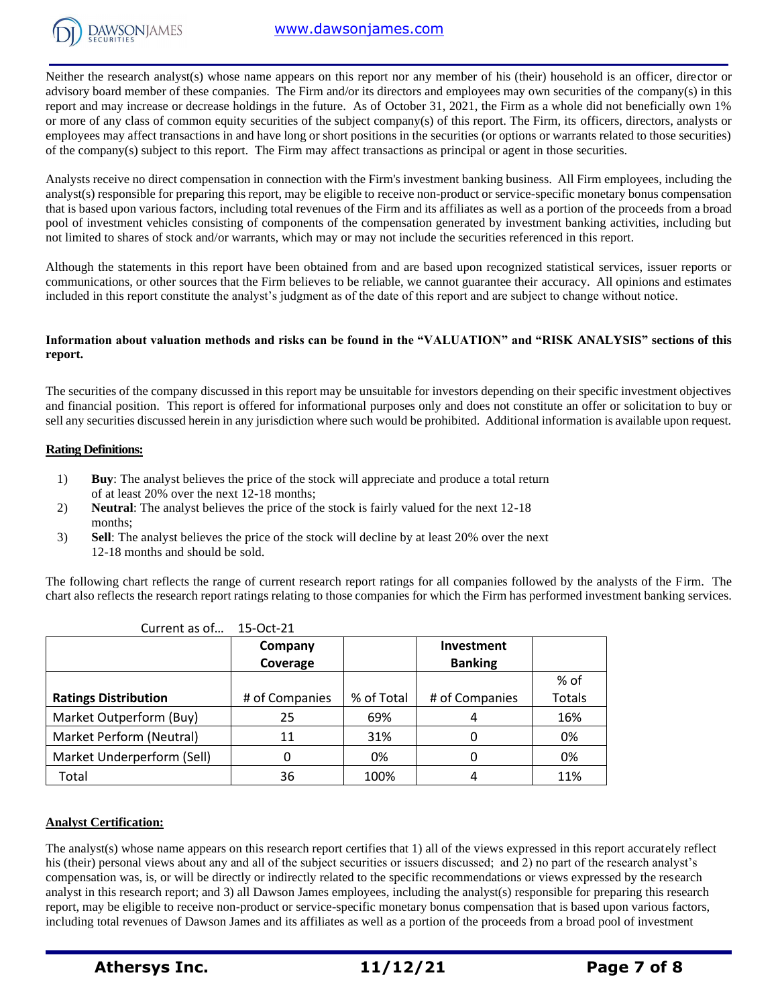

Neither the research analyst(s) whose name appears on this report nor any member of his (their) household is an officer, director or advisory board member of these companies. The Firm and/or its directors and employees may own securities of the company(s) in this report and may increase or decrease holdings in the future. As of October 31, 2021, the Firm as a whole did not beneficially own 1% or more of any class of common equity securities of the subject company(s) of this report. The Firm, its officers, directors, analysts or employees may affect transactions in and have long or short positions in the securities (or options or warrants related to those securities) of the company(s) subject to this report. The Firm may affect transactions as principal or agent in those securities.

Analysts receive no direct compensation in connection with the Firm's investment banking business. All Firm employees, including the analyst(s) responsible for preparing this report, may be eligible to receive non-product or service-specific monetary bonus compensation that is based upon various factors, including total revenues of the Firm and its affiliates as well as a portion of the proceeds from a broad pool of investment vehicles consisting of components of the compensation generated by investment banking activities, including but not limited to shares of stock and/or warrants, which may or may not include the securities referenced in this report.

Although the statements in this report have been obtained from and are based upon recognized statistical services, issuer reports or communications, or other sources that the Firm believes to be reliable, we cannot guarantee their accuracy. All opinions and estimates included in this report constitute the analyst's judgment as of the date of this report and are subject to change without notice.

#### **Information about valuation methods and risks can be found in the "VALUATION" and "RISK ANALYSIS" sections of this report.**

The securities of the company discussed in this report may be unsuitable for investors depending on their specific investment objectives and financial position. This report is offered for informational purposes only and does not constitute an offer or solicitation to buy or sell any securities discussed herein in any jurisdiction where such would be prohibited. Additional information is available upon request.

#### **Rating Definitions:**

- 1) **Buy**: The analyst believes the price of the stock will appreciate and produce a total return of at least 20% over the next 12-18 months;
- 2) **Neutral**: The analyst believes the price of the stock is fairly valued for the next 12-18 months;
- 3) **Sell**: The analyst believes the price of the stock will decline by at least 20% over the next 12-18 months and should be sold.

The following chart reflects the range of current research report ratings for all companies followed by the analysts of the Firm. The chart also reflects the research report ratings relating to those companies for which the Firm has performed investment banking services.

|                             | Company        |            | Investment     |               |
|-----------------------------|----------------|------------|----------------|---------------|
|                             | Coverage       |            | <b>Banking</b> |               |
|                             |                |            |                | % of          |
| <b>Ratings Distribution</b> | # of Companies | % of Total | # of Companies | <b>Totals</b> |
| Market Outperform (Buy)     | 25             | 69%        | 4              | 16%           |
| Market Perform (Neutral)    | 11             | 31%        |                | 0%            |
| Market Underperform (Sell)  |                | 0%         | 0              | 0%            |
| Total                       | 36             | 100%       |                | 11%           |

Current as of… 15-Oct-21

#### **Analyst Certification:**

The analyst(s) whose name appears on this research report certifies that 1) all of the views expressed in this report accurately reflect his (their) personal views about any and all of the subject securities or issuers discussed; and 2) no part of the research analyst's compensation was, is, or will be directly or indirectly related to the specific recommendations or views expressed by the research analyst in this research report; and 3) all Dawson James employees, including the analyst(s) responsible for preparing this research report, may be eligible to receive non-product or service-specific monetary bonus compensation that is based upon various factors, including total revenues of Dawson James and its affiliates as well as a portion of the proceeds from a broad pool of investment